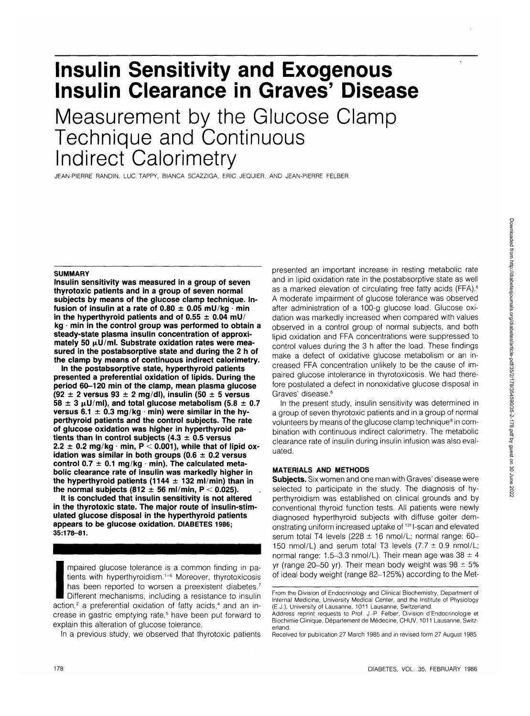# **Insulin Sensitivity and Exogenous Insulin Clearance in Graves' Disease**

Measurement by the Glucose Clamp Technique and Continuous Indirect Calorimetry

JEAN-PIERRE RANDIN, LUC TAPPY, BIANCA SCAZZIGA, ERIC JEQUIER, AND JEAN-PIERRE FELBER

#### **SUMMARY**

**Insulin sensitivity was measured in a group of seven thyrotoxic patients and in a group of seven normal subjects by means of the glucose clamp technique. In**fusion of insulin at a rate of  $0.80 \pm 0.05$  mU/kg  $\cdot$  min in the hyperthyroid patients and of  $0.55 \pm 0.04$  mU/ **kg • min in the control group was performed to obtain a steady-state plasma insulin concentration of approxi**mately 50  $\mu$ U/ml. Substrate oxidation rates were mea**sured in the postabsorptive state and during the 2 h of the clamp by means of continuous indirect calorimetry.**

**In the postabsorptive state, hyperthyroid patients presented a preferential oxidation of lipids. During the period 60-120 min of the clamp, mean plasma glucose (92 ± 2 versus 93 ± 2 mg/dl), insulin (50 ± 5 versus**  $58 \pm 3 \mu$ U/ml), and total glucose metabolism (5.8  $\pm$  0.7 **versus 6.1 ± 0.3 mg/kg • min) were similar in the hyperthyroid patients and the control subjects. The rate of glucose oxidation was higher in hyperthyroid patients than in control subjects (4.3 ± 0.5 versus**  $2.2 \pm 0.2$  mg/kg  $\cdot$  min, P  $\leq$  0.001), while that of lipid ox**idation was similar in both groups (0.6 ± 0.2 versus control 0.7 ± 0.1 mg/kg • min). The calculated metabolic clearance rate of insulin was markedly higher in the hyperthyroid patients (1144 ± 132 ml/min) than in** the normal subjects  $(812 \pm 56 \text{ ml/min}, P < 0.025)$ .

**It is concluded that insulin sensitivity is not altered in the thyrotoxic state. The major route of insulin-stimulated glucose disposal in the hyperthyroid patients appears to be glucose oxidation, DIABETES 1986; 35:178-81.**

mpaired glucose tolerance is a common finding in pa-<br>tients with hyperthyroidism.<sup>1-6</sup> Moreover, thyrotoxicosis<br>has been reported to worsen a preexistent diabetes.<sup>7</sup><br>Different mechanisms, including a resistance to insulin mpaired glucose tolerance is a common finding in patients with hyperthyroidism.<sup>1-6</sup> Moreover, thyrotoxicosis has been reported to worsen a preexistent diabetes.<sup>7</sup> Different mechanisms, including a resistance to insulin crease in gastric emptying rate,<sup>5</sup> have been put forward to explain this alteration of glucose tolerance.

In a previous study, we observed that thyrotoxic patients

presented an important increase in resting metabolic rate and in lipid oxidation rate in the postabsorptive state as well as a marked elevation of circulating free fatty acids (FFA).<sup>6</sup> A moderate impairment of glucose tolerance was observed after administration of a 100-g glucose load. Glucose oxidation was markedly increased when compared with values observed in a control group of normal subjects, and both lipid oxidation and FFA concentrations were suppressed to control values during the 3 h after the load. These findings make a defect of oxidative glucose metabolism or an increased FFA concentration unlikely to be the cause of impaired glucose intolerance in thyrotoxicosis. We had therefore postulated a defect in nonoxidative glucose disposal in Graves' disease.<sup>6</sup>

In the present study, insulin sensitivity was determined in a group of seven thyrotoxic patients and in a group of normal volunteers by means of the glucose clamp technique<sup>8</sup> in combination with continuous indirect calorimetry. The metabolic clearance rate of insulin during insulin infusion was also evaluated.

# **MATERIALS AND METHODS**

**Subjects.** Six women and one man with Graves' disease were selected to participate in the study. The diagnosis of hyperthyroidism was established on clinical grounds and by conventional thyroid function tests. All patients were newly diagnosed hyperthyroid subjects with diffuse goiter demonstrating uniform increased uptake of <sup>131</sup> l-scan and elevated serum total T4 levels (228  $\pm$  16 nmol/L; normal range: 60-150 nmol/L) and serum total T3 levels  $(7.7 \pm 0.9 \text{ nmol/L})$ normal range: 1.5-3.3 nmol/L). Their mean age was  $38 \pm 4$ yr (range 20-50 yr). Their mean body weight was  $98 \pm 5\%$ of ideal body weight (range 82-125%) according to the Met-

From the Division of Endocrinology and Clinical Biochemistry, Department of Internal Medicine, University Medical Center, and the Institute of Physiology (E.J.), University of Lausanne, 1011 Lausanne, Switzerland.

Address reprint requests to Prof. J.-P. Felber, Division d'Endocrinologie et Biochimie Clinique, Département de Médecine, CHUV, 1011 Lausanne, Switzerland.

Received for publication 27 March 1985 and in revised form 27 August 1985.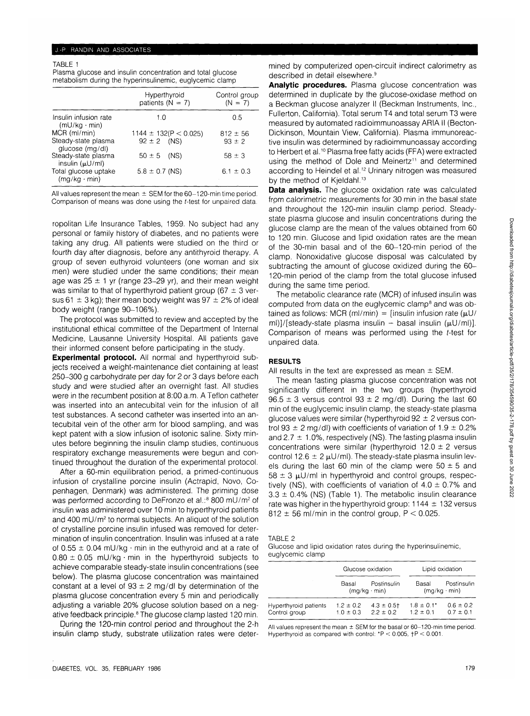### TABLE 1

Plasma glucose and insulin concentration and total glucose metabolism during the hyperinsulinemic, euglycemic clamp

|                                              | Hyperthyroid<br>patients ( $N = 7$ ) | Control group<br>$(N = 7)$<br>0.5 |  |
|----------------------------------------------|--------------------------------------|-----------------------------------|--|
| Insulin infusion rate<br>$(mU/kg \cdot min)$ | 1.0                                  |                                   |  |
| $MCR$ ( $ml/min$ )                           | 1144 $\pm$ 132(P < 0.025)            | $812 \pm 56$                      |  |
| Steady-state plasma<br>glucose (mg/dl)       | $92 \pm 2$ (NS)                      | $93 \pm 2$                        |  |
| Steady-state plasma<br>insulin $(\mu U/ml)$  | $50 \pm 5$ (NS)                      | $58 \pm 3$                        |  |
| Total glucose uptake<br>$(mq/kg \cdot min)$  | $5.8 \pm 0.7$ (NS)                   | $6.1 \pm 0.3$                     |  |

All values represent the mean  $\pm$  SEM for the 60-120-min time period. Comparison of means was done using the f-test for unpaired data.

ropolitan Life Insurance Tables, 1959. No subject had any personal or family history of diabetes, and no patients were taking any drug. All patients were studied on the third or fourth day after diagnosis, before any antithyroid therapy. A group of seven euthyroid volunteers (one woman and six men) were studied under the same conditions; their mean age was  $25 \pm 1$  yr (range 23-29 yr), and their mean weight was similar to that of hyperthyroid patient group (67  $\pm$  3 versus 61  $\pm$  3 kg); their mean body weight was 97  $\pm$  2% of ideal body weight (range 90-106%).

The protocol was submitted to review and accepted by the institutional ethical committee of the Department of Internal Medicine, Lausanne University Hospital. All patients gave their informed consent before participating in the study.

**Experimental protocol.** All normal and hyperthyroid subjects received a weight-maintenance diet containing at least 250-300 g carbohydrate per day for 2 or 3 days before each study and were studied after an overnight fast. All studies were in the recumbent position at 8:00 a.m. A Teflon catheter was inserted into an antecubital vein for the infusion of all test substances. A second catheter was inserted into an antecubital vein of the other arm for blood sampling, and was kept patent with a slow infusion of isotonic saline. Sixty minutes before beginning the insulin clamp studies, continuous respiratory exchange measurements were begun and continued throughout the duration of the experimental protocol.

After a 60-min equilibration period, a primed-continuous infusion of crystalline porcine insulin (Actrapid, Novo, Copenhagen, Denmark) was administered. The priming dose was performed according to DeFronzo et al.:<sup>8</sup> 800 mU/m<sup>2</sup> of insulin was administered over 10 min to hyperthyroid patients and 400 mU/m<sup>2</sup> to normal subjects. An aliquot of the solution of crystalline porcine insulin infused was removed for determination of insulin concentration. Insulin was infused at a rate of  $0.55 \pm 0.04$  mU/kg  $\cdot$  min in the euthyroid and at a rate of  $0.80 \pm 0.05$  mU/kg · min in the hyperthyroid subjects to achieve comparable steady-state insulin concentrations (see below). The plasma glucose concentration was maintained constant at a level of  $93 \pm 2$  mg/dl by determination of the plasma glucose concentration every 5 min and periodically adjusting a variable 20% glucose solution based on a negative feedback principle.<sup>8</sup> The glucose clamp lasted 120 min.

During the 120-min control period and throughout the 2-h insulin clamp study, substrate utilization rates were determined by computerized open-circuit indirect calorimetry as described in detail elsewhere.<sup>9</sup>

**Analytic procedures.** Plasma glucose concentration was determined in duplicate by the glucose-oxidase method on a Beckman glucose analyzer II (Beckman Instruments, Inc., Fullerton, California). Total serum T4 and total serum T3 were measured by automated radioimmunoassay ARIA II (Becton-Dickinson, Mountain View, California). Plasma immunoreactive insulin was determined by radioimmunoassay according to Herbert et al.<sup>10</sup> Plasma free fatty acids (FFA) were extracted using the method of Dole and Meinertz<sup>11</sup> and determined according to Heindel et al.<sup>12</sup> Urinary nitrogen was measured by the method of Kjeldahl.<sup>13</sup>

**Data analysis.** The glucose oxidation rate was calculated from calorimetric measurements for 30 min in the basal state and throughout the 120-min insulin clamp period. Steadystate plasma glucose and insulin concentrations during the glucose clamp are the mean of the values obtained from 60 to 120 min. Glucose and lipid oxidation rates are the mean of the 30-min basal and of the 60-120-min period of the clamp. Nonoxidative glucose disposal was calculated by subtracting the amount of glucose oxidized during the 60- 120-min period of the clamp from the total glucose infused during the same time period.

The metabolic clearance rate (MCR) of infused insulin was computed from data on the euglycemic clamp<sup>8</sup> and was obtained as follows: MCR (ml/min) = [insulin infusion rate ( $\mu$ U/ ml)]/[steady-state plasma insulin - basal insulin  $(\mu U/ml)$ ]. Comparison of means was performed using the f-test for unpaired data.

# **RESULTS**

All results in the text are expressed as mean  $\pm$  SEM.

The mean fasting plasma glucose concentration was not significantly different in the two groups (hyperthyroid  $96.5 \pm 3$  versus control  $93 \pm 2$  mg/dl). During the last 60 min of the euglycemic insulin clamp, the steady-state plasma glucose values were similar (hyperthyroid  $92 \pm 2$  versus control 93  $\pm$  2 mg/dl) with coefficients of variation of 1.9  $\pm$  0.2% and 2.7  $\pm$  1.0%, respectively (NS). The fasting plasma insulin concentrations were similar (hyperthyroid  $12.0 \pm 2$  versus control 12.6  $\pm$  2  $\mu$ U/ml). The steady-state plasma insulin levels during the last 60 min of the clamp were  $50 \pm 5$  and  $58 \pm 3$  µU/ml in hyperthyroid and control groups, respectively (NS), with coefficients of variation of  $4.0 \pm 0.7\%$  and  $3.3 \pm 0.4\%$  (NS) (Table 1). The metabolic insulin clearance rate was higher in the hyperthyroid group:  $1144 \pm 132$  versus 812  $\pm$  56 ml/min in the control group, P < 0.025.

TABLE 2

Glucose and lipid oxidation rates during the hyperinsulinemic, euglycemic clamp

|                                        |                                | Glucose oxidation                  |                                  | Lipid oxidation                    |  |
|----------------------------------------|--------------------------------|------------------------------------|----------------------------------|------------------------------------|--|
|                                        | Basal                          | Postinsulin<br>$(mq/kg \cdot min)$ | Basal                            | Postinsulin<br>$(mq/kg \cdot min)$ |  |
| Hyperthyroid patients<br>Control group | $1.2 \pm 0.2$<br>$1.0 \pm 0.3$ | $4.3 \pm 0.5$ †<br>$2.2 \pm 0.2$   | $1.8 \pm 0.1^*$<br>$1.2 \pm 0.1$ | $0.6 \pm 0.2$<br>$0.7 \pm 0.1$     |  |

All values represent the mean  $\pm$  SEM for the basal or 60-120-min time period. Hyperthyroid as compared with control:  $P < 0.005$ ,  $P < 0.001$ .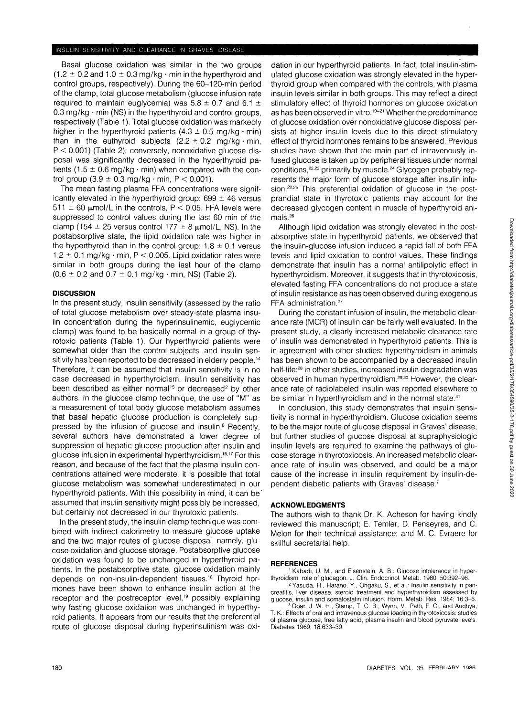## INSULIN SENSITIVITY AND CLEARANCE IN GRAVES DISEASE

Basal glucose oxidation was similar in the two groups  $(1.2 \pm 0.2$  and  $1.0 \pm 0.3$  mg/kg  $\cdot$  min in the hyperthyroid and control groups, respectively). During the 60-120-min period of the clamp, total glucose metabolism (glucose infusion rate required to maintain euglycemia) was  $5.8 \pm 0.7$  and  $6.1 \pm$  $0.3$  mg/kg  $\cdot$  min (NS) in the hyperthyroid and control groups, respectively (Table 1). Total glucose oxidation was markedly higher in the hyperthyroid patients  $(4.3 \pm 0.5 \text{ ma/ka} \cdot \text{min})$ than in the euthyroid subjects  $(2.2 \pm 0.2 \text{ mg/kg} \cdot \text{min})$ .  $P < 0.001$ ) (Table 2); conversely, nonoxidative glucose disposal was significantly decreased in the hyperthyroid patients (1.5  $\pm$  0.6 mg/kg  $\cdot$  min) when compared with the control group  $(3.9 \pm 0.3 \text{ mg/kg} \cdot \text{min}, P < 0.001)$ .

The mean fasting plasma FFA concentrations were significantly elevated in the hyperthyroid group:  $699 \pm 46$  versus 511  $\pm$  60 µmol/L in the controls, P < 0.05. FFA levels were suppressed to control values during the last 60 min of the clamp (154  $\pm$  25 versus control 177  $\pm$  8  $\mu$ mol/L, NS). In the postabsorptive state, the lipid oxidation rate was higher in the hyperthyroid than in the control group:  $1.8 \pm 0.1$  versus  $1.2 \pm 0.1$  mg/kg  $\cdot$  min, P < 0.005. Lipid oxidation rates were similar in both groups during the last hour of the clamp  $(0.6 \pm 0.2 \text{ and } 0.7 \pm 0.1 \text{ mg/kg} \cdot \text{min}, \text{NS})$  (Table 2).

## **DISCUSSION**

In the present study, insulin sensitivity (assessed by the ratio of total glucose metabolism over steady-state plasma insulin concentration during the hyperinsulinemic, euglycemic clamp) was found to be basically normal in a group of thyrotoxic patients (Table 1). Our hyperthyroid patients were somewhat older than the control subjects, and insulin sensitivity has been reported to be decreased in elderly people.<sup>14</sup> Therefore, it can be assumed that insulin sensitivity is in no case decreased in hyperthyroidism. Insulin sensitivity has been described as either normal<sup>15</sup> or decreased<sup>2</sup> by other authors. In the glucose clamp technique, the use of "M" as a measurement of total body glucose metabolism assumes that basal hepatic glucose production is completely suppressed by the infusion of glucose and insulin.<sup>8</sup> Recently, several authors have demonstrated a lower degree of suppression of hepatic glucose production after insulin and glucose infusion in experimental hyperthyroidism.<sup>16,17</sup> For this reason, and because of the fact that the plasma insulin concentrations attained were moderate, it is possible that total glucose metabolism was somewhat underestimated in our hyperthyroid patients. With this possibility in mind, it can be' assumed that insulin sensitivity might possibly be increased, but certainly not decreased in our thyrotoxic patients.

In the present study, the insulin clamp technique was combined with indirect calorimetry to measure glucose uptake and the two major routes of glucose disposal, namely, glucose oxidation and glucose storage. Postabsorptive glucose oxidation was found to be unchanged in hyperthyroid patients. In the postabsorptive state, glucose oxidation mainly depends on non-insulin-dependent tissues.<sup>18</sup> Thyroid hormones have been shown to enhance insulin action at the receptor and the postreceptor level,<sup>19</sup> possibly explaining why fasting glucose oxidation was unchanged in hyperthyroid patients. It appears from our results that the preferential route of glucose disposal during hyperinsulinism was oxidation in our hyperthyroid patients. In fact, total insulin-stimulated glucose oxidation was strongly elevated in the hyperthyroid group when compared with the controls, with plasma insulin levels similar in both groups. This may reflect a direct stimulatory effect of thyroid hormones on glucose oxidation as has been observed in vitro.<sup>19-21</sup> Whether the predominance of glucose oxidation over nonoxidative glucose disposal persists at higher insulin levels due to this direct stimulatory effect of thyroid hormones remains to be answered. Previous studies have shown that the main part of intravenously infused glucose is taken up by peripheral tissues under normal conditions,<sup>22,23</sup> primarily by muscle.<sup>24</sup> Glycogen probably represents the major form of glucose storage after insulin infusion.<sup>22,25</sup> This preferential oxidation of glucose in the postprandial state in thyrotoxic patients may account for the decreased glycogen content in muscle of hyperthyroid animals.<sup>26</sup>

Although lipid oxidation was strongly elevated in the postabsorptive state in hyperthyroid patients, we observed that the insulin-glucose infusion induced a rapid fall of both FFA levels and lipid oxidation to control values. These findings demonstrate that insulin has a normal antilipolytic effect in hyperthyroidism. Moreover, it suggests that in thyrotoxicosis, elevated fasting FFA concentrations do not produce a state of insulin resistance as has been observed during exogenous FFA administration.27

During the constant infusion of insulin, the metabolic clearance rate (MCR) of insulin can be fairly well evaluated. In the present study, a clearly increased metabolic clearance rate of insulin was demonstrated in hyperthyroid patients. This is in agreement with other studies: hyperthyroidism in animals has been shown to be accompanied by a decreased insulin half-life;<sup>28</sup> in other studies, increased insulin degradation was observed in human hyperthyroidism.<sup>29,30</sup> However, the clearance rate of radiolabeled insulin was reported elsewhere to be similar in hyperthyroidism and in the normal state.31

In conclusion, this study demonstrates that insulin sensitivity is normal in hyperthyroidism. Glucose oxidation seems to be the major route of glucose disposal in Graves' disease, but further studies of glucose disposal at supraphysiologic insulin levels are required to examine the pathways of glucose storage in thyrotoxicosis. An increased metabolic clearance rate of insulin was observed, and could be a major cause of the increase in insulin requirement by insulin-dependent diabetic patients with Graves' disease.7

## **ACKNOWLEDGMENTS**

The authors wish to thank Dr. K. Acheson for having kindly reviewed this manuscript; E. Temler, D. Penseyres, and C. Melon for their technical assistance; and M. C. Evraere for skillful secretarial help.

#### **REFERENCES**

 Kabadi, U. M., and Eisenstein, A. B.: Glucose intolerance in hyperthyroidism: role of glucagon. J. Clin. Endocrinol. Metab. 1980; 50:392-96.

<sup>2</sup> Yasuda, H., Harano, Y., Ohgaku, S., et al.: Insulin sensitivity in pancreatitis, liver disease, steroid treatment and hyperthyroidism assessed by glucose, insulin and somatostatin infusion. Horm. Metab. Res. 1984; 16:3-6. Doar, J. W. H., Stamp, T. C. B., Wynn, V., Path, F. C, and Audhya, T. K.: Effects of oral and intravenous glucose loading in thyrotoxicosis: studies of plasma glucose, free fatty acid, plasma insulin and blood pyruvate levels. Diabetes 1969; 18:633-39.